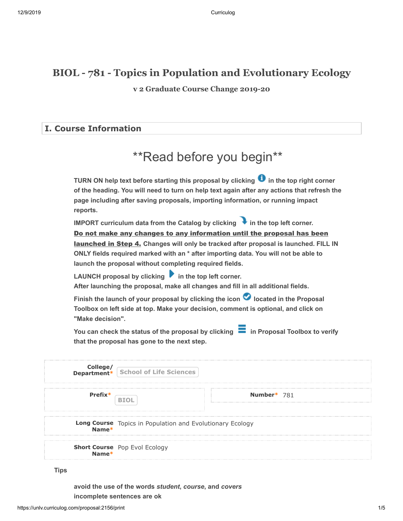# **BIOL - 781 - Topics in Population and Evolutionary Ecology**

**v 2 Graduate Course Change 2019-20**

## **I. Course Information**

# \*\*Read before you begin\*\*

**TURN ON help text before starting this proposal by clicking**  $\bullet$  **in the top right corner of the heading. You will need to turn on help text again after any actions that refresh the page including after saving proposals, importing information, or running impact reports.**

**IMPORT curriculum data from the Catalog by clicking**  in the top left corner. <u>launched in Step 4.</u> Changes will only be tracked after proposal is launched. FILL IN **ONLY fields required marked with an \* after importing data. You will not be able to launch the proposal without completing required fields.**  Do not make any changes to any information until the proposal has been

LAUNCH proposal by clicking **in the top left corner. After launching the proposal, make all changes and fill in all additional fields.** 

Finish the launch of your proposal by clicking the icon **O** located in the Proposal **Toolbox on left side at top. Make your decision, comment is optional, and click on "Make decision".**

You can check the status of the proposal by clicking **in Proposal Toolbox to verify that the proposal has gone to the next step.**

|         | <b>College/</b><br><b>Department*</b> School of Life Sciences      |             |
|---------|--------------------------------------------------------------------|-------------|
| Prefix* |                                                                    | Number* 781 |
|         | Long Course Topics in Population and Evolutionary Ecology<br>Name* |             |
|         | <b>Short Course</b> Pop Evol Ecology                               |             |

**Tips**

**avoid the use of the words** *student***,** *course***, and** *covers* **incomplete sentences are ok**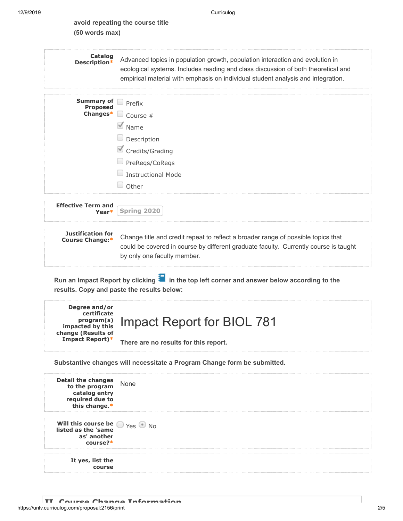| avoid repeating the course title |
|----------------------------------|
| (50 words max)                   |

| <b>Catalog</b><br>Description*                                                                          | Advanced topics in population growth, population interaction and evolution in<br>ecological systems. Includes reading and class discussion of both theoretical and<br>empirical material with emphasis on individual student analysis and integration. |
|---------------------------------------------------------------------------------------------------------|--------------------------------------------------------------------------------------------------------------------------------------------------------------------------------------------------------------------------------------------------------|
| Summary of<br><b>Proposed</b>                                                                           | $\Box$ Prefix                                                                                                                                                                                                                                          |
| Changes*                                                                                                | $\Box$ Course #                                                                                                                                                                                                                                        |
|                                                                                                         | $\blacksquare$ Name                                                                                                                                                                                                                                    |
|                                                                                                         | $\Box$ Description                                                                                                                                                                                                                                     |
|                                                                                                         | Credits/Grading                                                                                                                                                                                                                                        |
|                                                                                                         | PreRegs/CoRegs                                                                                                                                                                                                                                         |
|                                                                                                         | Instructional Mode                                                                                                                                                                                                                                     |
|                                                                                                         | U<br>Other                                                                                                                                                                                                                                             |
| <b>Effective Term and</b><br>Year*                                                                      | Spring 2020                                                                                                                                                                                                                                            |
| <b>Justification for</b><br>Course Change:*                                                             | Change title and credit repeat to reflect a broader range of possible topics that<br>could be covered in course by different graduate faculty. Currently course is taught<br>by only one faculty member.                                               |
|                                                                                                         |                                                                                                                                                                                                                                                        |
|                                                                                                         | Run an Impact Report by clicking in the top left corner and answer below according to the<br>results. Copy and paste the results below:                                                                                                                |
| Degree and/or<br>certificate<br>program(s)<br>impacted by this<br>change (Results of<br>Impact Report)* | <b>Impact Report for BIOL 781</b><br>There are no results for this report.                                                                                                                                                                             |
|                                                                                                         | Substantive changes will necessitate a Program Change form be submitted.                                                                                                                                                                               |
| Detail the changes<br>to the program<br>catalog entry<br>required due to<br>this change.*               | None                                                                                                                                                                                                                                                   |
| Will this course be<br>listed as the 'same<br>as' another<br>course?*                                   | $Yes \n\bullet No$                                                                                                                                                                                                                                     |
| It yes, list the<br>course                                                                              |                                                                                                                                                                                                                                                        |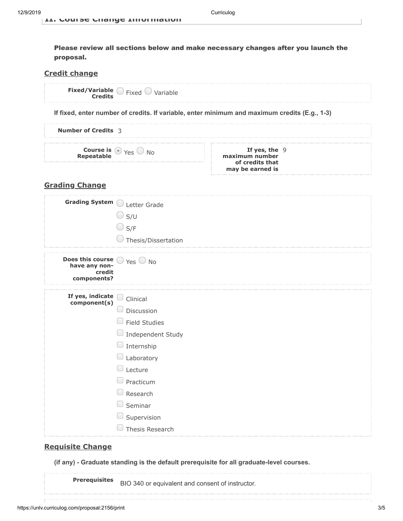Please review all sections below and make necessary changes after you launch the proposal.

#### **Credit change**

| Fixed | Variable |
|-------|----------|
|       |          |

**If fixed, enter number of credits. If variable, enter minimum and maximum credits (E.g., 1-3)**

| <b>Number of Credits</b> 3                       |                                                                          |  |
|--------------------------------------------------|--------------------------------------------------------------------------|--|
| <b>Course is <math>\bigcirc</math></b> Yes<br>N٥ | If yes, the $9$<br>maximum number<br>of credits that<br>may be earned is |  |

## **Grading Change**

| Grading System O                                           | Letter Grade<br>$\bigcirc$ s/u<br>$\bigcirc$ S/F<br>Thesis/Dissertation                                                                                                                                                                              |
|------------------------------------------------------------|------------------------------------------------------------------------------------------------------------------------------------------------------------------------------------------------------------------------------------------------------|
| Does this course<br>have any non-<br>credit<br>components? | $\bigcirc$ Yes $\bigcirc$ No                                                                                                                                                                                                                         |
| If yes, indicate<br>component(s)                           | Clinical<br>Discussion<br><b>Field Studies</b><br>$\hspace{0.1mm}$<br>Independent Study<br>$\overline{\phantom{a}}$<br>Internship<br>$\Box$<br>Laboratory<br>Lecture<br>$\Box$<br>Practicum<br>Research<br>Seminar<br>Supervision<br>Thesis Research |

#### **Requisite Change**

**(if any) - Graduate standing is the default prerequisite for all graduate-level courses.**

**Prerequisites** BIO 340 or equivalent and consent of instructor.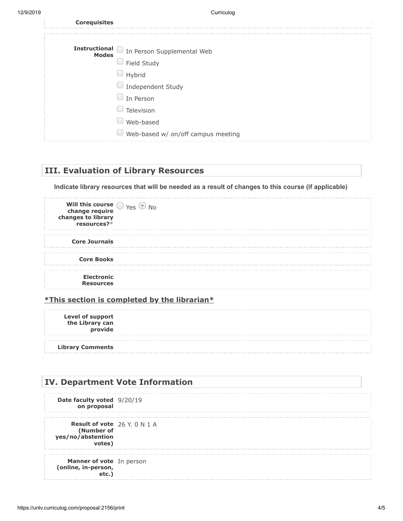| <b>Corequisites</b> |                                          |
|---------------------|------------------------------------------|
|                     |                                          |
|                     | Instructional In Person Supplemental Web |
|                     | Field Study                              |
|                     | Hybrid                                   |
|                     | $\Box$ Independent Study                 |
|                     | In Person                                |
|                     | Television                               |
|                     | Web-based                                |
|                     | Web-based w/ on/off campus meeting       |

## **III. Evaluation of Library Resources**

**Indicate library resources that will be needed as a result of changes to this course (if applicable)**

| Will this course $\bigcirc$ Yes $\bullet$<br>change require<br>changes to library<br>resources?* |  |
|--------------------------------------------------------------------------------------------------|--|
| <b>Core Journals</b>                                                                             |  |
| <b>Core Books</b>                                                                                |  |
| <b>Electronic</b><br><b>Resources</b>                                                            |  |

#### **\*This section is completed by the librarian\***

**Level of support the Library can provide**

**Library Comments**

# **IV. Department Vote Information Date faculty voted** 9/20/19 **on proposal Result of vote** 26 Y. 0 N 1 A **(Number of yes/no/abstention votes) Manner of vote** In person**(online, in-person, etc.)**